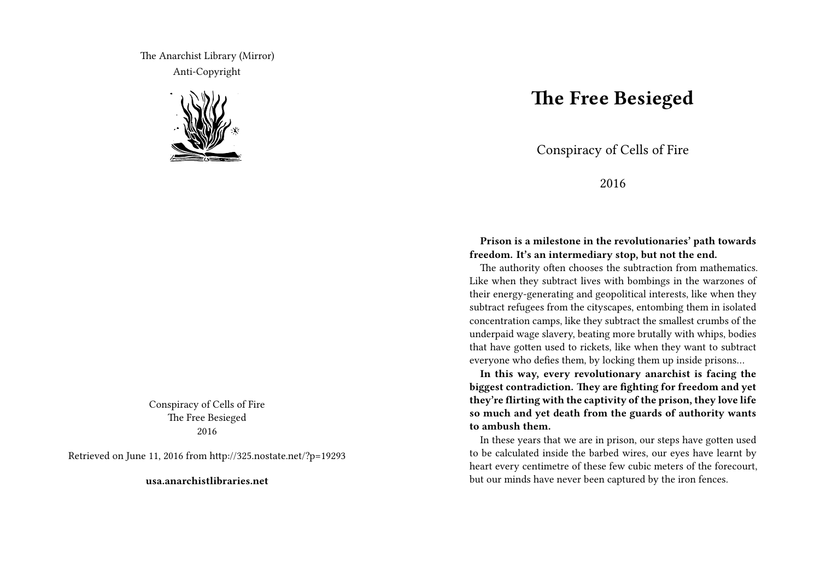The Anarchist Library (Mirror) Anti-Copyright



Conspiracy of Cells of Fire The Free Besieged 2016

Retrieved on June 11, 2016 from http://325.nostate.net/?p=19293

**usa.anarchistlibraries.net**

## **The Free Besieged**

Conspiracy of Cells of Fire

2016

## **Prison is a milestone in the revolutionaries' path towards freedom. It's an intermediary stop, but not the end.**

The authority often chooses the subtraction from mathematics. Like when they subtract lives with bombings in the warzones of their energy-generating and geopolitical interests, like when they subtract refugees from the cityscapes, entombing them in isolated concentration camps, like they subtract the smallest crumbs of the underpaid wage slavery, beating more brutally with whips, bodies that have gotten used to rickets, like when they want to subtract everyone who defies them, by locking them up inside prisons…

**In this way, every revolutionary anarchist is facing the biggest contradiction. They are fighting for freedom and yet they're flirting with the captivity of the prison, they love life so much and yet death from the guards of authority wants to ambush them.**

In these years that we are in prison, our steps have gotten used to be calculated inside the barbed wires, our eyes have learnt by heart every centimetre of these few cubic meters of the forecourt, but our minds have never been captured by the iron fences.